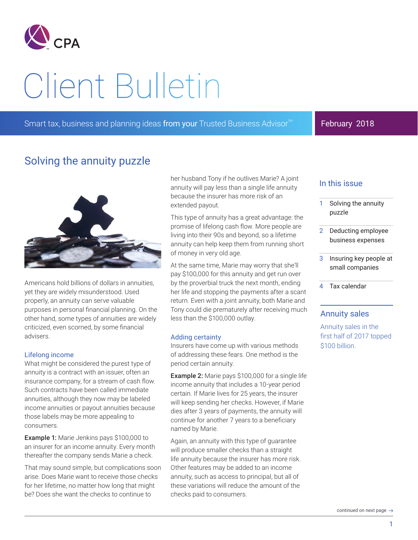

# Client Bulletin

Smart tax, business and planning ideas from your Trusted Business Advisor<sup>3M</sup> **February 2018** 

# Solving the annuity puzzle



Americans hold billions of dollars in annuities, yet they are widely misunderstood. Used properly, an annuity can serve valuable purposes in personal financial planning. On the other hand, some types of annuities are widely criticized, even scorned, by some financial advisers.

#### Lifelong income

What might be considered the purest type of annuity is a contract with an issuer, often an insurance company, for a stream of cash flow. Such contracts have been called immediate annuities, although they now may be labeled income annuities or payout annuities because those labels may be more appealing to consumers.

Example 1: Marie Jenkins pays \$100,000 to an insurer for an income annuity. Every month thereafter the company sends Marie a check.

That may sound simple, but complications soon arise. Does Marie want to receive those checks for her lifetime, no matter how long that might be? Does she want the checks to continue to

her husband Tony if he outlives Marie? A joint annuity will pay less than a single life annuity because the insurer has more risk of an extended payout.

This type of annuity has a great advantage: the promise of lifelong cash flow. More people are living into their 90s and beyond, so a lifetime annuity can help keep them from running short of money in very old age.

At the same time, Marie may worry that she'll pay \$100,000 for this annuity and get run over by the proverbial truck the next month, ending her life and stopping the payments after a scant return. Even with a joint annuity, both Marie and Tony could die prematurely after receiving much less than the \$100,000 outlay.

#### Adding certainty

Insurers have come up with various methods of addressing these fears. One method is the period certain annuity.

Example 2: Marie pays \$100,000 for a single life income annuity that includes a 10-year period certain. If Marie lives for 25 years, the insurer will keep sending her checks. However, if Marie dies after 3 years of payments, the annuity will continue for another 7 years to a beneficiary named by Marie.

Again, an annuity with this type of guarantee will produce smaller checks than a straight life annuity because the insurer has more risk. Other features may be added to an income annuity, such as access to principal, but all of these variations will reduce the amount of the checks paid to consumers.

## In this issue

- 1 Solving the annuity puzzle
- 2 Deducting employee business expenses
- 3 Insuring key people at small companies
- 4 Tax calendar

### Annuity sales

Annuity sales in the first half of 2017 topped \$100 billion.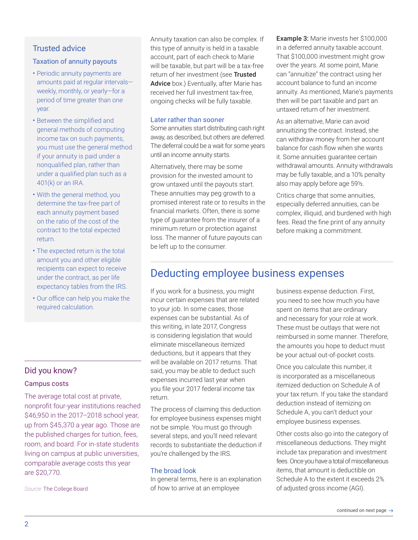## Trusted advice

#### Taxation of annuity payouts

- Periodic annuity payments are amounts paid at regular intervals weekly, monthly, or yearly—for a period of time greater than one year.
- Between the simplified and general methods of computing income tax on such payments, you must use the general method if your annuity is paid under a nonqualified plan, rather than under a qualified plan such as a 401(k) or an IRA.
- With the general method, you determine the tax-free part of each annuity payment based on the ratio of the cost of the contract to the total expected return.
- The expected return is the total amount you and other eligible recipients can expect to receive under the contract, as per life expectancy tables from the IRS.
- Our office can help you make the required calculation.

#### Did you know?

#### Campus costs

The average total cost at private, nonprofit four-year institutions reached \$46,950 in the 2017–2018 school year, up from \$45,370 a year ago. Those are the published charges for tuition, fees, room, and board. For in-state students living on campus at public universities, comparable average costs this year are \$20,770.

*Source:* The College Board

Annuity taxation can also be complex. If this type of annuity is held in a taxable account, part of each check to Marie will be taxable, but part will be a tax-free return of her investment (see Trusted Advice box.) Eventually, after Marie has received her full investment tax-free, ongoing checks will be fully taxable.

#### Later rather than sooner

Some annuities start distributing cash right away, as described, but others are deferred. The deferral could be a wait for some years until an income annuity starts.

Alternatively, there may be some provision for the invested amount to grow untaxed until the payouts start. These annuities may peg growth to a promised interest rate or to results in the financial markets. Often, there is some type of guarantee from the insurer of a minimum return or protection against loss. The manner of future payouts can be left up to the consumer.

Example 3: Marie invests her \$100,000 in a deferred annuity taxable account. That \$100,000 investment might grow over the years. At some point, Marie can "annuitize" the contract using her account balance to fund an income annuity. As mentioned, Marie's payments then will be part taxable and part an untaxed return of her investment.

As an alternative, Marie can avoid annuitizing the contract. Instead, she can withdraw money from her account balance for cash flow when she wants it. Some annuities guarantee certain withdrawal amounts. Annuity withdrawals may be fully taxable, and a 10% penalty also may apply before age 59½.

Critics charge that some annuities, especially deferred annuities, can be complex, illiquid, and burdened with high fees. Read the fine print of any annuity before making a commitment.

# Deducting employee business expenses

If you work for a business, you might incur certain expenses that are related to your job. In some cases, those expenses can be substantial. As of this writing, in late 2017, Congress is considering legislation that would eliminate miscellaneous itemized deductions, but it appears that they will be available on 2017 returns. That said, you may be able to deduct such expenses incurred last year when you file your 2017 federal income tax return.

The process of claiming this deduction for employee business expenses might not be simple. You must go through several steps, and you'll need relevant records to substantiate the deduction if you're challenged by the IRS.

#### The broad look

In general terms, here is an explanation of how to arrive at an employee

business expense deduction. First, you need to see how much you have spent on items that are ordinary and necessary for your role at work. These must be outlays that were not reimbursed in some manner. Therefore, the amounts you hope to deduct must be your actual out-of-pocket costs.

Once you calculate this number, it is incorporated as a miscellaneous itemized deduction on Schedule A of your tax return. If you take the standard deduction instead of itemizing on Schedule A, you can't deduct your employee business expenses.

Other costs also go into the category of miscellaneous deductions. They might include tax preparation and investment fees. Once you have a total of miscellaneous items, that amount is deductible on Schedule A to the extent it exceeds 2% of adjusted gross income (AGI).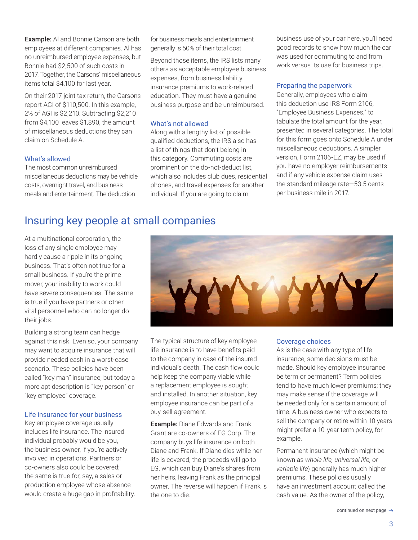Example: Al and Bonnie Carson are both employees at different companies. Al has no unreimbursed employee expenses, but Bonnie had \$2,500 of such costs in 2017. Together, the Carsons' miscellaneous items total \$4,100 for last year.

On their 2017 joint tax return, the Carsons report AGI of \$110,500. In this example, 2% of AGI is \$2,210. Subtracting \$2,210 from \$4,100 leaves \$1,890, the amount of miscellaneous deductions they can claim on Schedule A.

#### What's allowed

The most common unreimbursed miscellaneous deductions may be vehicle costs, overnight travel, and business meals and entertainment. The deduction

for business meals and entertainment generally is 50% of their total cost.

Beyond those items, the IRS lists many others as acceptable employee business expenses, from business liability insurance premiums to work-related education. They must have a genuine business purpose and be unreimbursed.

#### What's not allowed

Along with a lengthy list of possible qualified deductions, the IRS also has a list of things that don't belong in this category. Commuting costs are prominent on the do-not-deduct list, which also includes club dues, residential phones, and travel expenses for another individual. If you are going to claim

business use of your car here, you'll need good records to show how much the car was used for commuting to and from work versus its use for business trips.

#### Preparing the paperwork

Generally, employees who claim this deduction use IRS Form 2106, "Employee Business Expenses," to tabulate the total amount for the year, presented in several categories. The total for this form goes onto Schedule A under miscellaneous deductions. A simpler version, Form 2106-EZ, may be used if you have no employer reimbursements and if any vehicle expense claim uses the standard mileage rate—53.5 cents per business mile in 2017.

# Insuring key people at small companies

At a multinational corporation, the loss of any single employee may hardly cause a ripple in its ongoing business. That's often not true for a small business. If you're the prime mover, your inability to work could have severe consequences. The same is true if you have partners or other vital personnel who can no longer do their jobs.

Building a strong team can hedge against this risk. Even so, your company may want to acquire insurance that will provide needed cash in a worst-case scenario. These policies have been called "key man" insurance, but today a more apt description is "key person" or "key employee" coverage.

#### Life insurance for your business

Key employee coverage usually includes life insurance. The insured individual probably would be you, the business owner, if you're actively involved in operations. Partners or co-owners also could be covered; the same is true for, say, a sales or production employee whose absence would create a huge gap in profitability.



The typical structure of key employee life insurance is to have benefits paid to the company in case of the insured individual's death. The cash flow could help keep the company viable while a replacement employee is sought and installed. In another situation, key employee insurance can be part of a buy-sell agreement.

**Example:** Diane Edwards and Frank Grant are co-owners of EG Corp. The company buys life insurance on both Diane and Frank. If Diane dies while her life is covered, the proceeds will go to EG, which can buy Diane's shares from her heirs, leaving Frank as the principal owner. The reverse will happen if Frank is the one to die.

#### Coverage choices

As is the case with any type of life insurance, some decisions must be made. Should key employee insurance be term or permanent? Term policies tend to have much lower premiums; they may make sense if the coverage will be needed only for a certain amount of time. A business owner who expects to sell the company or retire within 10 years might prefer a 10-year term policy, for example.

Permanent insurance (which might be known as *whole life, universal life, or variable life*) generally has much higher premiums. These policies usually have an investment account called the cash value. As the owner of the policy,